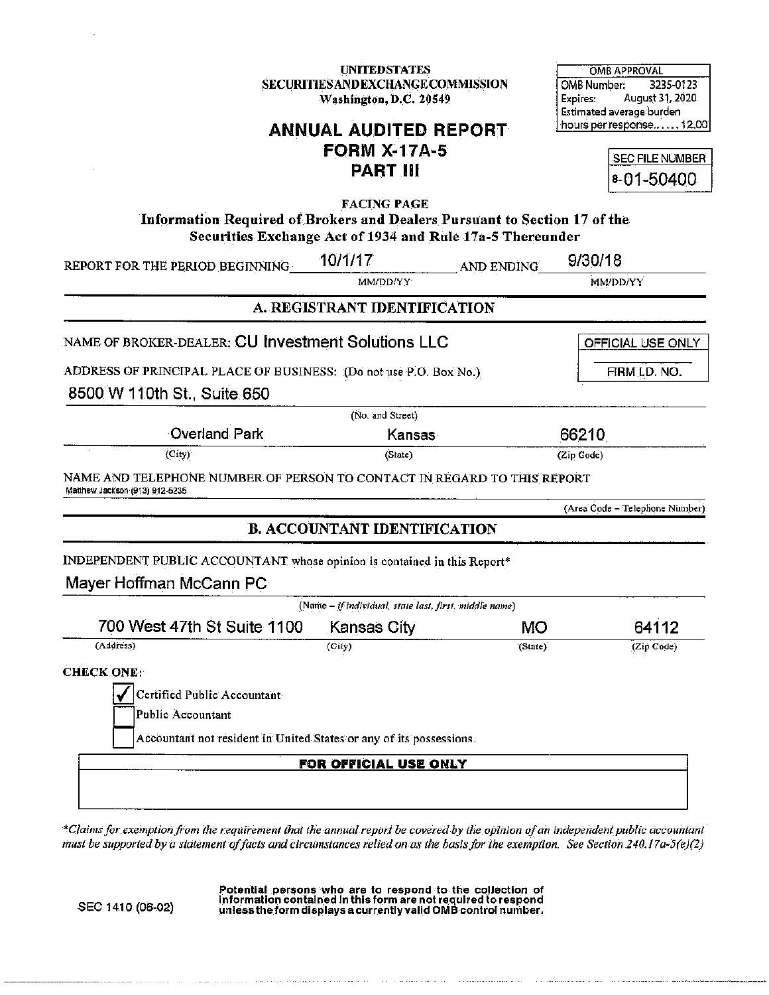**UNITEDSTATES** SECURITIES AND EXCHANGE COMMISSION Washington, D.C. 20549

**OMB APPROVAL** OMB Number: 3235-0123 August 31, 2020 Expires: Estimated average burden hours per response...... 12.00

# **ANNUAL AUDITED REPORT FORM X-17A-5 PART III**

SEC FILE NUMBER 8-01-50400

**FACING PAGE** Information Required of Brokers and Dealers Pursuant to Section 17 of the Securities Exchange Act of 1934 and Rule 17a-5 Thereunder

| REPORT FOR THE PERIOD BEGINNING<br>NAME OF BROKER-DEALER: CU Investment Solutions LLC                                            | MM/DD/YY<br>A. REGISTRANT IDENTIFICATION               | AND ENDING | MM/DD/YY                       |
|----------------------------------------------------------------------------------------------------------------------------------|--------------------------------------------------------|------------|--------------------------------|
|                                                                                                                                  |                                                        |            |                                |
|                                                                                                                                  |                                                        |            |                                |
|                                                                                                                                  |                                                        |            | OFFICIAL USE ONLY              |
| ADDRESS OF PRINCIPAL PLACE OF BUSINESS: (Do not use P.O. Box No.)                                                                |                                                        |            | FIRM I.D. NO.                  |
| 8500 W 110th St., Suite 650                                                                                                      |                                                        |            |                                |
|                                                                                                                                  | (No. and Street)                                       |            |                                |
| <b>Overland Park</b>                                                                                                             | Kansas                                                 |            | 66210                          |
| (City)                                                                                                                           | (State)                                                |            | (Zip Code)                     |
| NAME AND TELEPHONE NUMBER OF PERSON TO CONTACT IN REGARD TO THIS REPORT<br>Matthew Jackson (913) 912-5235                        |                                                        |            |                                |
|                                                                                                                                  |                                                        |            | (Area Code - Telephone Number) |
|                                                                                                                                  | <b>B. ACCOUNTANT IDENTIFICATION</b>                    |            |                                |
| INDEPENDENT PUBLIC ACCOUNTANT whose opinion is contained in this Report*                                                         |                                                        |            |                                |
| Mayer Hoffman McCann PC                                                                                                          |                                                        |            |                                |
|                                                                                                                                  | (Name - if individual, state last, first, middle name) |            |                                |
| 700 West 47th St Suite 1100                                                                                                      | <b>Kansas City</b>                                     | МO         | 64112                          |
| (Address)                                                                                                                        | (City)                                                 | (State)    | (Zip Code)                     |
| <b>CHECK ONE:</b>                                                                                                                |                                                        |            |                                |
| Certified Public Accountant                                                                                                      |                                                        |            |                                |
| Public Accountant                                                                                                                |                                                        |            |                                |
| Accountant not resident in United States or any of its possessions.                                                              |                                                        |            |                                |
|                                                                                                                                  | FOR OFFICIAL USE ONLY                                  |            |                                |
|                                                                                                                                  |                                                        |            |                                |
|                                                                                                                                  |                                                        |            |                                |
| *Claims for exemption from the requirement that the annual report be covered by the optinion of an independent public accountant |                                                        |            |                                |

must be supported by a statement of facts and circumstances relied on as the basis for the exemption. See Section 240.17a-5(e)(2)

SEC 1410 (06-02)

Potential persons who are to respond to the collection of<br>information contained in this form are not required to respond<br>unless the form displays a currently valid OMB control number.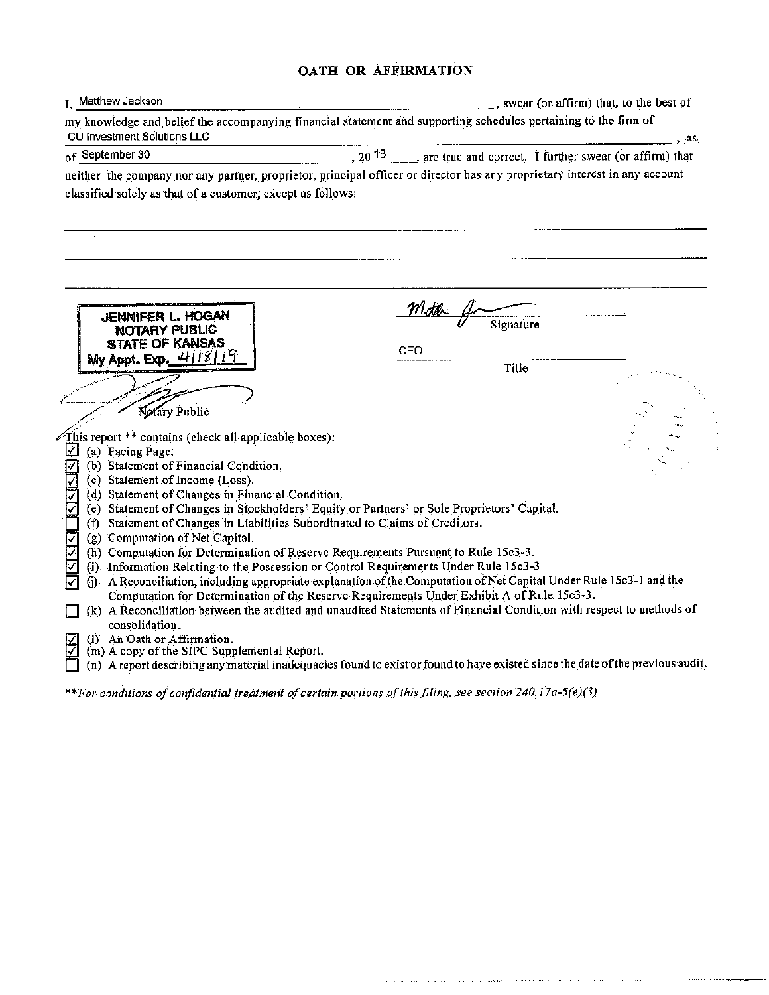#### OATH OR AFFIRMATION

| I. Matthew Jackson                                                                                                                                                                                               |                                                                               | , swear (or affirm) that, to the best of |
|------------------------------------------------------------------------------------------------------------------------------------------------------------------------------------------------------------------|-------------------------------------------------------------------------------|------------------------------------------|
| my knowledge and belief the accompanying financial statement and supporting schedules pertaining to the firm of<br>CU Investment Solutions LLC                                                                   |                                                                               | , 45                                     |
| of September 30                                                                                                                                                                                                  | 20 <sup>18</sup> ____, are true and correct. I further swear (or affirm) that |                                          |
| neither the company nor any partner, proprietor, principal officer or director has any proprietary interest in any account<br>classified solely as that of a customer, except as follows:                        |                                                                               |                                          |
| JENNIFER L. HOGAN<br>NOTARY PUBLIC<br>STATE OF KANSAS                                                                                                                                                            | <u>Mith</u><br>Signature<br>CEO                                               |                                          |
| My Appt. Exp. 4/18/19                                                                                                                                                                                            | Title                                                                         |                                          |
|                                                                                                                                                                                                                  |                                                                               |                                          |
|                                                                                                                                                                                                                  |                                                                               |                                          |
| Notary Public                                                                                                                                                                                                    |                                                                               |                                          |
| This report ** contains (check all applicable boxes):                                                                                                                                                            |                                                                               |                                          |
| М<br>(a) Facing Page.                                                                                                                                                                                            |                                                                               |                                          |
| (b) Statement of Financial Condition.<br>IV.                                                                                                                                                                     |                                                                               |                                          |
| (c) Statement of Income (Loss).<br>(d) Statement of Changes in Financial Condition.                                                                                                                              |                                                                               |                                          |
| (e) Statement of Changes in Stockholders' Equity or Partners' or Sole Proprietors' Capital.                                                                                                                      |                                                                               |                                          |
| (f) Statement of Changes in Liabilities Subordinated to Claims of Creditors.                                                                                                                                     |                                                                               |                                          |
| (g) Computation of Net Capital.<br>☑                                                                                                                                                                             |                                                                               |                                          |
| (h) Computation for Determination of Reserve Requirements Pursuant to Rule 15c3-3.                                                                                                                               |                                                                               |                                          |
| (i) Information Relating to the Possession or Control Requirements Under Rule 15c3-3.                                                                                                                            |                                                                               |                                          |
| A Reconciliation, including appropriate explanation of the Computation of Net Capital Under Rule 15c3-1 and the<br>(i)<br>⊽                                                                                      |                                                                               |                                          |
| Computation for Determination of the Reserve Requirements Under Exhibit A of Rule 15c3-3.<br>(k) A Reconciliation between the audited and unaudited Statements of Financial Condition with respect to methods of |                                                                               |                                          |
| consolidation.                                                                                                                                                                                                   |                                                                               |                                          |
| (1) An Oath or Affirmation.                                                                                                                                                                                      |                                                                               |                                          |
| (m) A copy of the SIPC Supplemental Report.                                                                                                                                                                      |                                                                               |                                          |
| (n) A report describing any material inadequacies found to exist or found to have existed since the date of the previous audit.                                                                                  |                                                                               |                                          |

\*\* For conditions of confidential treatment of certain portions of this filing, see section 240.17a-5(e)(3).

and the component of the contract of the contract of the component of the contract of the component of the component

 $\bar{z}$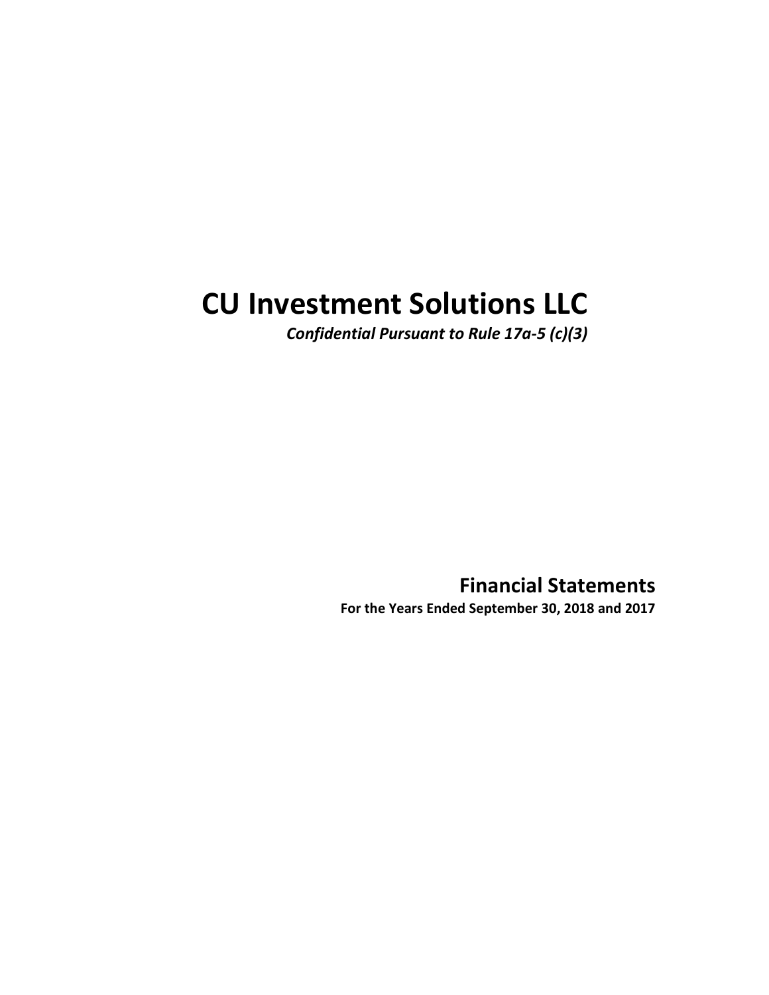# CU Investment Solutions LLC

Confidential Pursuant to Rule 17a-5 (c)(3)

Financial Statements For the Years Ended September 30, 2018 and 2017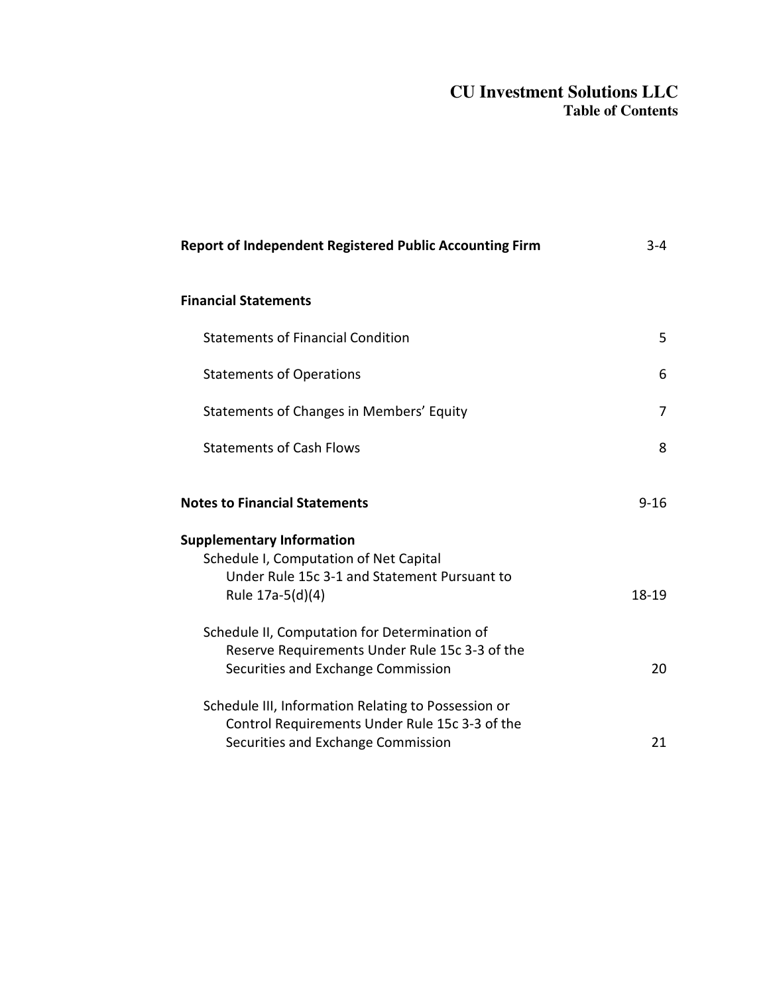#### **CU Investment Solutions LLC Table of Contents**

| Report of Independent Registered Public Accounting Firm                                                                                        | $3-4$    |
|------------------------------------------------------------------------------------------------------------------------------------------------|----------|
| <b>Financial Statements</b>                                                                                                                    |          |
| <b>Statements of Financial Condition</b>                                                                                                       | 5.       |
| <b>Statements of Operations</b>                                                                                                                | 6        |
| Statements of Changes in Members' Equity                                                                                                       | 7        |
| <b>Statements of Cash Flows</b>                                                                                                                | 8        |
| <b>Notes to Financial Statements</b>                                                                                                           | $9 - 16$ |
| <b>Supplementary Information</b><br>Schedule I, Computation of Net Capital<br>Under Rule 15c 3-1 and Statement Pursuant to<br>Rule 17a-5(d)(4) | 18-19    |
| Schedule II, Computation for Determination of<br>Reserve Requirements Under Rule 15c 3-3 of the<br>Securities and Exchange Commission          | 20       |
| Schedule III, Information Relating to Possession or<br>Control Requirements Under Rule 15c 3-3 of the<br>Securities and Exchange Commission    | 21       |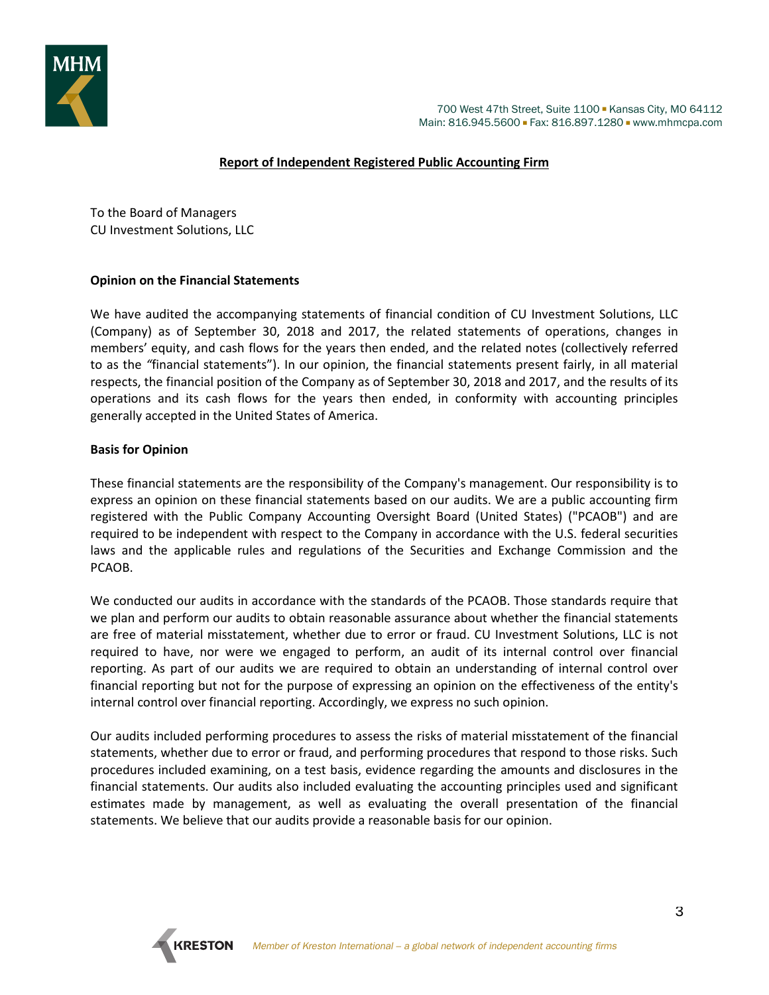

#### **Report of Independent Registered Public Accounting Firm**

To the Board of Managers CU Investment Solutions, LLC

#### **Opinion on the Financial Statements**

We have audited the accompanying statements of financial condition of CU Investment Solutions, LLC (Company) as of September 30, 2018 and 2017, the related statements of operations, changes in members' equity, and cash flows for the years then ended, and the related notes (collectively referred to as the *"*financial statements"). In our opinion, the financial statements present fairly, in all material respects, the financial position of the Company as of September 30, 2018 and 2017, and the results of its operations and its cash flows for the years then ended, in conformity with accounting principles generally accepted in the United States of America.

#### **Basis for Opinion**

These financial statements are the responsibility of the Company's management. Our responsibility is to express an opinion on these financial statements based on our audits. We are a public accounting firm registered with the Public Company Accounting Oversight Board (United States) ("PCAOB") and are required to be independent with respect to the Company in accordance with the U.S. federal securities laws and the applicable rules and regulations of the Securities and Exchange Commission and the PCAOB.

We conducted our audits in accordance with the standards of the PCAOB. Those standards require that we plan and perform our audits to obtain reasonable assurance about whether the financial statements are free of material misstatement, whether due to error or fraud. CU Investment Solutions, LLC is not required to have, nor were we engaged to perform, an audit of its internal control over financial reporting. As part of our audits we are required to obtain an understanding of internal control over financial reporting but not for the purpose of expressing an opinion on the effectiveness of the entity's internal control over financial reporting. Accordingly, we express no such opinion.

Our audits included performing procedures to assess the risks of material misstatement of the financial statements, whether due to error or fraud, and performing procedures that respond to those risks. Such procedures included examining, on a test basis, evidence regarding the amounts and disclosures in the financial statements. Our audits also included evaluating the accounting principles used and significant estimates made by management, as well as evaluating the overall presentation of the financial statements. We believe that our audits provide a reasonable basis for our opinion.

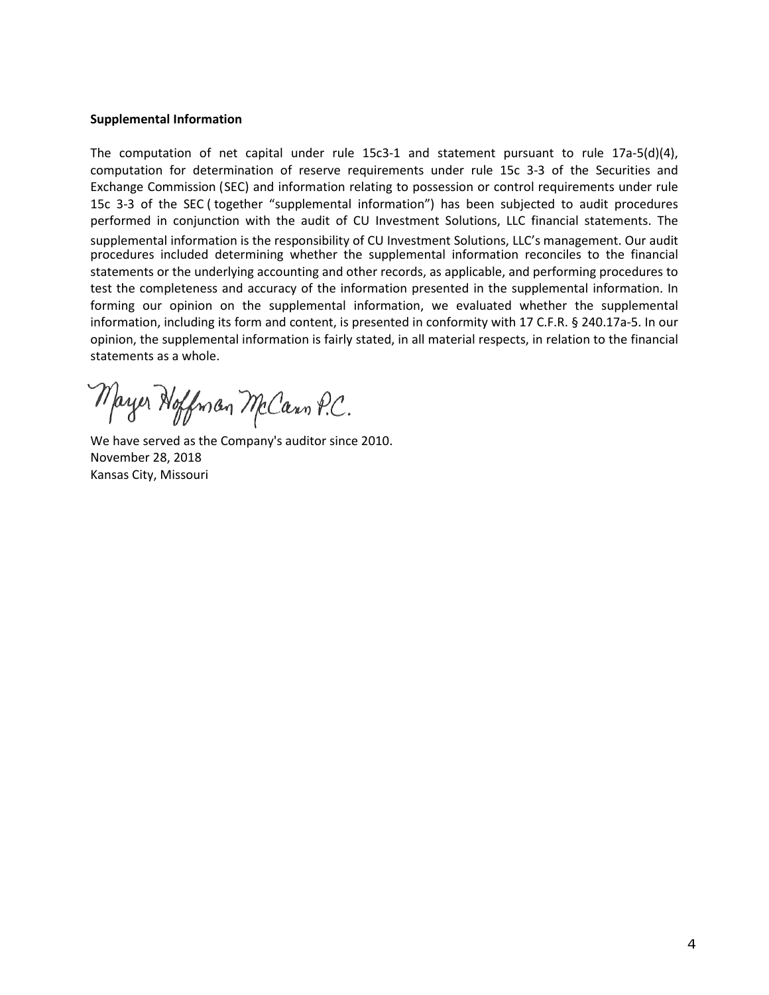#### **Supplemental Information**

The computation of net capital under rule 15c3-1 and statement pursuant to rule 17a-5(d)(4), computation for determination of reserve requirements under rule 15c 3-3 of the Securities and Exchange Commission (SEC) and information relating to possession or control requirements under rule 15c 3-3 of the SEC ( together "supplemental information") has been subjected to audit procedures performed in conjunction with the audit of CU Investment Solutions, LLC financial statements. The supplemental information is the responsibility of CU Investment Solutions, LLC's management. Our audit procedures included determining whether the supplemental information reconciles to the financial statements or the underlying accounting and other records, as applicable, and performing procedures to test the completeness and accuracy of the information presented in the supplemental information. In forming our opinion on the supplemental information, we evaluated whether the supplemental information, including its form and content, is presented in conformity with 17 C.F.R. § 240.17a-5. In our opinion, the supplemental information is fairly stated, in all material respects, in relation to the financial statements as a whole.

Mayer Hoffman McCann P.C.

We have served as the Company's auditor since 2010. November 28, 2018 Kansas City, Missouri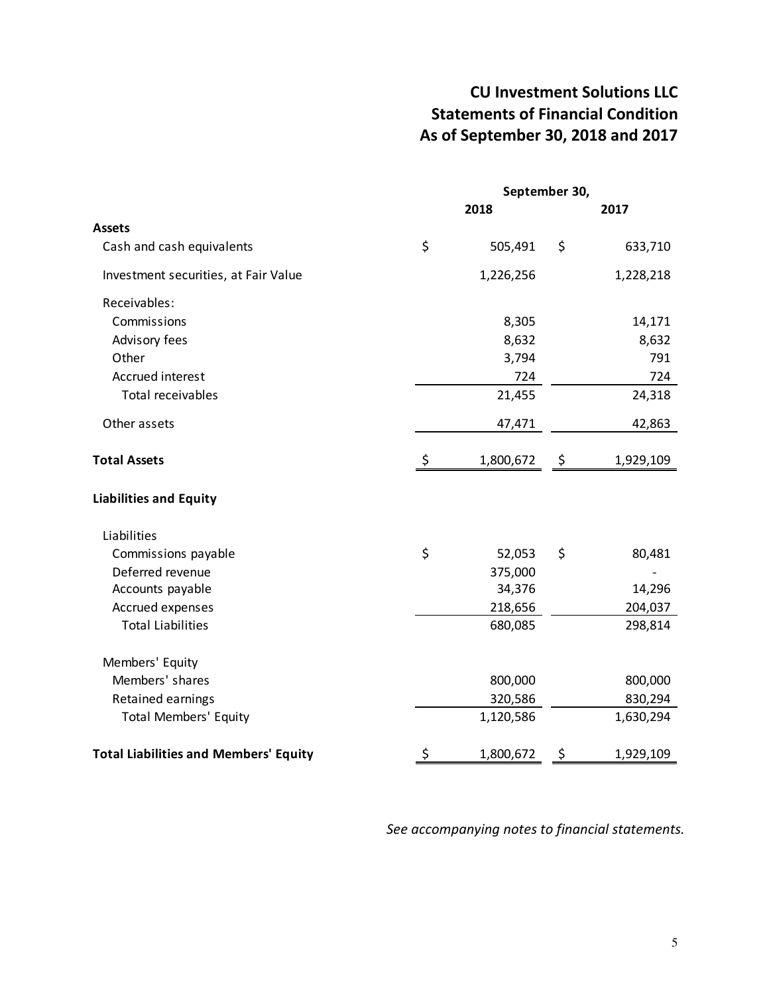# CU Investment Solutions LLC Statements of Financial Condition As of September 30, 2018 and 2017

|                                              | September 30, |           |     |           |
|----------------------------------------------|---------------|-----------|-----|-----------|
|                                              |               | 2018      |     | 2017      |
| <b>Assets</b>                                |               |           |     |           |
| Cash and cash equivalents                    | \$            | 505,491   | \$  | 633,710   |
| Investment securities, at Fair Value         |               | 1,226,256 |     | 1,228,218 |
| Receivables:                                 |               |           |     |           |
| Commissions                                  |               | 8,305     |     | 14,171    |
| Advisory fees                                |               | 8,632     |     | 8,632     |
| Other                                        |               | 3,794     |     | 791       |
| Accrued interest                             |               | 724       |     | 724       |
| <b>Total receivables</b>                     |               | 21,455    |     | 24,318    |
| Other assets                                 |               | 47,471    |     | 42,863    |
| <b>Total Assets</b>                          | \$            | 1,800,672 | -\$ | 1,929,109 |
| <b>Liabilities and Equity</b>                |               |           |     |           |
| Liabilities                                  |               |           |     |           |
| Commissions payable                          | \$            | 52,053    | \$  | 80,481    |
| Deferred revenue                             |               | 375,000   |     |           |
| Accounts payable                             |               | 34,376    |     | 14,296    |
| Accrued expenses                             |               | 218,656   |     | 204,037   |
| <b>Total Liabilities</b>                     |               | 680,085   |     | 298,814   |
| Members' Equity                              |               |           |     |           |
| Members' shares                              |               | 800,000   |     | 800,000   |
| Retained earnings                            |               | 320,586   |     | 830,294   |
| <b>Total Members' Equity</b>                 |               | 1,120,586 |     | 1,630,294 |
| <b>Total Liabilities and Members' Equity</b> | \$            | 1,800,672 | \$  | 1,929,109 |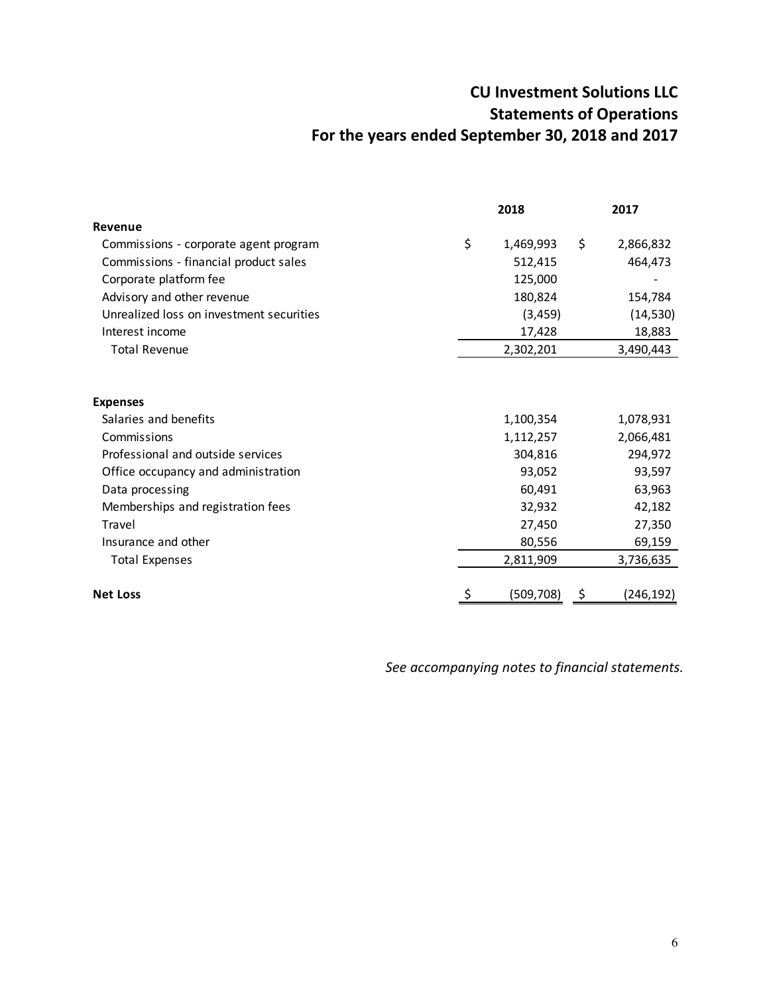# CU Investment Solutions LLC Statements of Operations For the years ended September 30, 2018 and 2017

|                                          | 2018             | 2017             |
|------------------------------------------|------------------|------------------|
| Revenue                                  |                  |                  |
| Commissions - corporate agent program    | \$<br>1,469,993  | \$<br>2,866,832  |
| Commissions - financial product sales    | 512,415          | 464,473          |
| Corporate platform fee                   | 125,000          |                  |
| Advisory and other revenue               | 180,824          | 154,784          |
| Unrealized loss on investment securities | (3, 459)         | (14, 530)        |
| Interest income                          | 17,428           | 18,883           |
| <b>Total Revenue</b>                     | 2,302,201        | 3,490,443        |
|                                          |                  |                  |
| <b>Expenses</b>                          |                  |                  |
| Salaries and benefits                    | 1,100,354        | 1,078,931        |
| Commissions                              | 1,112,257        | 2,066,481        |
| Professional and outside services        | 304,816          | 294,972          |
| Office occupancy and administration      | 93,052           | 93,597           |
| Data processing                          | 60,491           | 63,963           |
| Memberships and registration fees        | 32,932           | 42,182           |
| Travel                                   | 27,450           | 27,350           |
| Insurance and other                      | 80,556           | 69,159           |
| <b>Total Expenses</b>                    | 2,811,909        | 3,736,635        |
| <b>Net Loss</b>                          | \$<br>(509, 708) | \$<br>(246, 192) |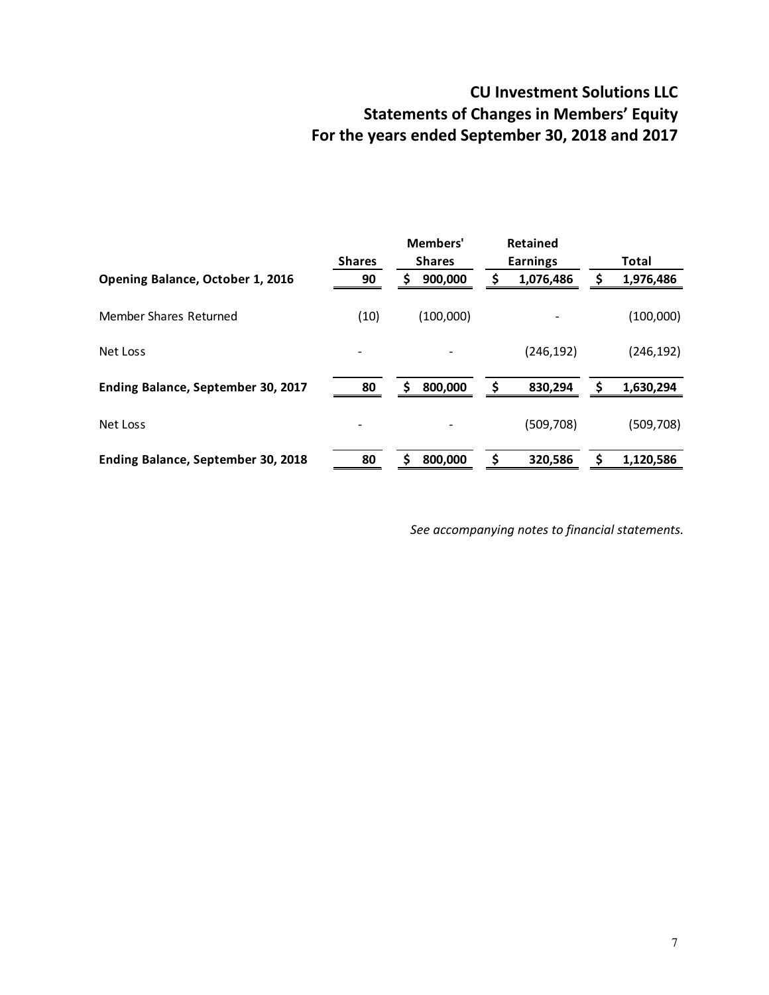# CU Investment Solutions LLC Statements of Changes in Members' Equity For the years ended September 30, 2018 and 2017

|                                    | <b>Shares</b> | Members'<br><b>Shares</b> |    | <b>Retained</b><br><b>Earnings</b> | <b>Total</b>    |
|------------------------------------|---------------|---------------------------|----|------------------------------------|-----------------|
| Opening Balance, October 1, 2016   | 90            | 900,000<br>S              | \$ | 1,076,486                          | \$<br>1,976,486 |
| Member Shares Returned             | (10)          | (100,000)                 |    |                                    | (100,000)       |
| Net Loss                           |               |                           |    | (246, 192)                         | (246, 192)      |
| Ending Balance, September 30, 2017 | 80            | 800,000<br>S              | S  | 830,294                            | 1,630,294       |
| Net Loss                           |               |                           |    | (509, 708)                         | (509, 708)      |
| Ending Balance, September 30, 2018 | 80            | 800,000<br>S              |    | 320,586                            | 1,120,586       |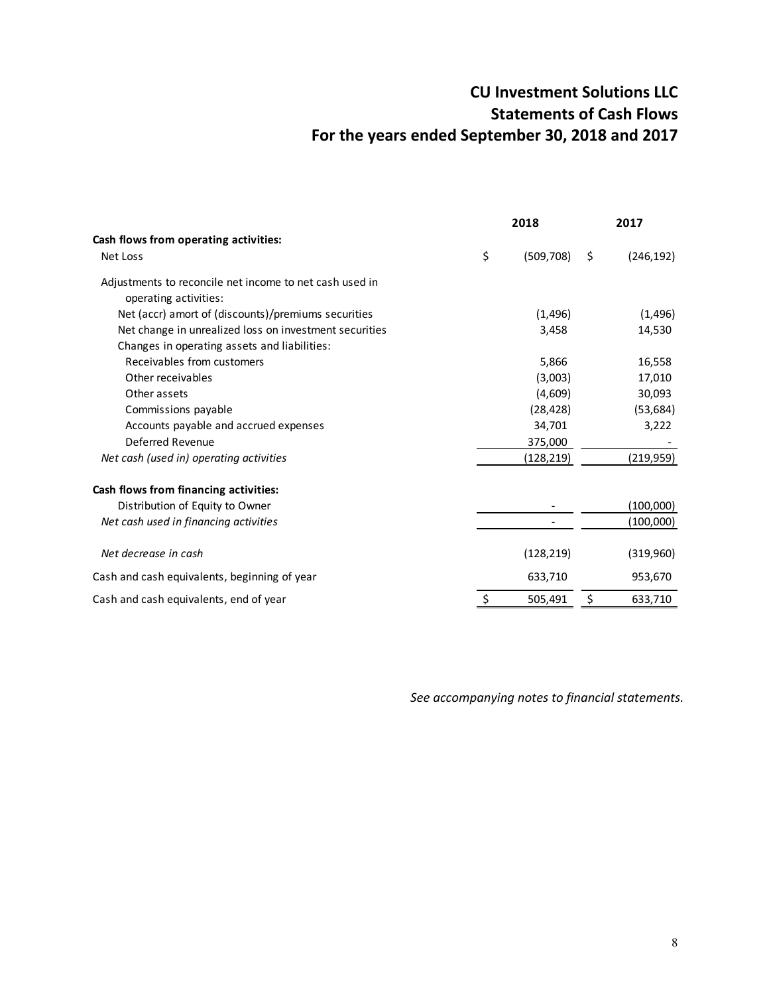# CU Investment Solutions LLC Statements of Cash Flows For the years ended September 30, 2018 and 2017

|                                                                                  | 2018             | 2017             |
|----------------------------------------------------------------------------------|------------------|------------------|
| Cash flows from operating activities:                                            |                  |                  |
| Net Loss                                                                         | \$<br>(509, 708) | \$<br>(246, 192) |
| Adjustments to reconcile net income to net cash used in<br>operating activities: |                  |                  |
| Net (accr) amort of (discounts)/premiums securities                              | (1, 496)         | (1, 496)         |
| Net change in unrealized loss on investment securities                           | 3,458            | 14,530           |
| Changes in operating assets and liabilities:                                     |                  |                  |
| Receivables from customers                                                       | 5,866            | 16,558           |
| Other receivables                                                                | (3,003)          | 17,010           |
| Other assets                                                                     | (4,609)          | 30,093           |
| Commissions payable                                                              | (28, 428)        | (53, 684)        |
| Accounts payable and accrued expenses                                            | 34,701           | 3,222            |
| Deferred Revenue                                                                 | 375,000          |                  |
| Net cash (used in) operating activities                                          | (128,219)        | (219,959)        |
| Cash flows from financing activities:                                            |                  |                  |
| Distribution of Equity to Owner                                                  |                  | (100,000)        |
| Net cash used in financing activities                                            |                  | (100,000)        |
| Net decrease in cash                                                             | (128, 219)       | (319,960)        |
| Cash and cash equivalents, beginning of year                                     | 633,710          | 953,670          |
| Cash and cash equivalents, end of year                                           | \$<br>505,491    | \$<br>633,710    |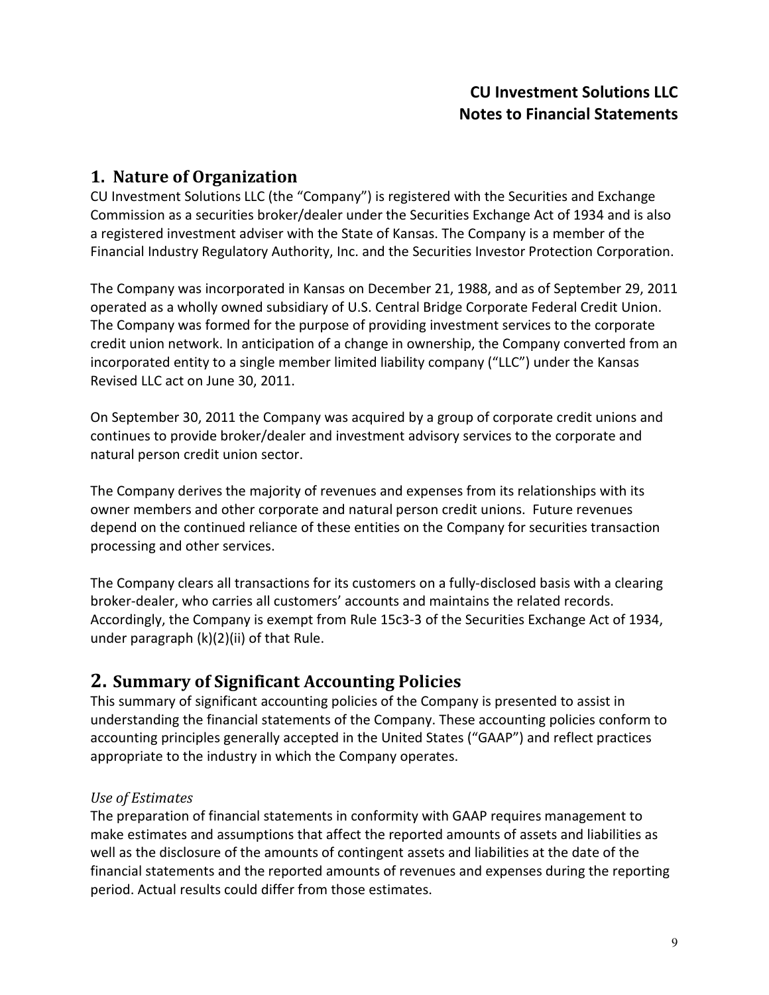## 1. Nature of Organization

CU Investment Solutions LLC (the "Company") is registered with the Securities and Exchange Commission as a securities broker/dealer under the Securities Exchange Act of 1934 and is also a registered investment adviser with the State of Kansas. The Company is a member of the Financial Industry Regulatory Authority, Inc. and the Securities Investor Protection Corporation.

The Company was incorporated in Kansas on December 21, 1988, and as of September 29, 2011 operated as a wholly owned subsidiary of U.S. Central Bridge Corporate Federal Credit Union. The Company was formed for the purpose of providing investment services to the corporate credit union network. In anticipation of a change in ownership, the Company converted from an incorporated entity to a single member limited liability company ("LLC") under the Kansas Revised LLC act on June 30, 2011.

On September 30, 2011 the Company was acquired by a group of corporate credit unions and continues to provide broker/dealer and investment advisory services to the corporate and natural person credit union sector.

The Company derives the majority of revenues and expenses from its relationships with its owner members and other corporate and natural person credit unions. Future revenues depend on the continued reliance of these entities on the Company for securities transaction processing and other services.

The Company clears all transactions for its customers on a fully-disclosed basis with a clearing broker-dealer, who carries all customers' accounts and maintains the related records. Accordingly, the Company is exempt from Rule 15c3-3 of the Securities Exchange Act of 1934, under paragraph (k)(2)(ii) of that Rule.

## 2. Summary of Significant Accounting Policies

This summary of significant accounting policies of the Company is presented to assist in understanding the financial statements of the Company. These accounting policies conform to accounting principles generally accepted in the United States ("GAAP") and reflect practices appropriate to the industry in which the Company operates.

#### Use of Estimates

The preparation of financial statements in conformity with GAAP requires management to make estimates and assumptions that affect the reported amounts of assets and liabilities as well as the disclosure of the amounts of contingent assets and liabilities at the date of the financial statements and the reported amounts of revenues and expenses during the reporting period. Actual results could differ from those estimates.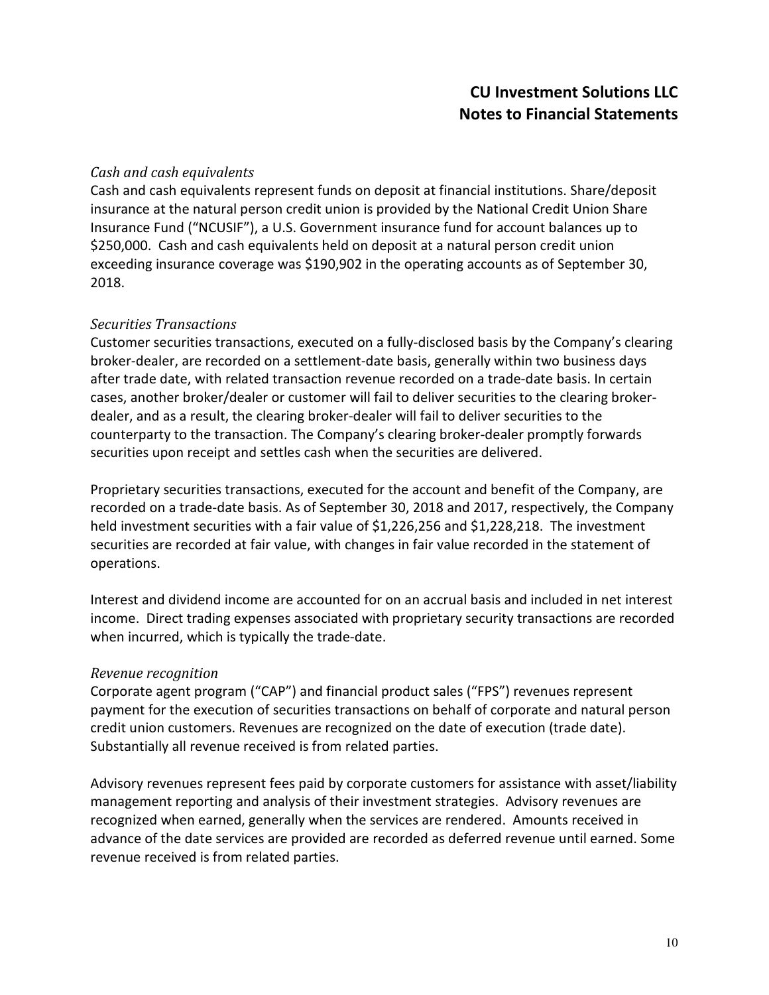#### Cash and cash equivalents

Cash and cash equivalents represent funds on deposit at financial institutions. Share/deposit insurance at the natural person credit union is provided by the National Credit Union Share Insurance Fund ("NCUSIF"), a U.S. Government insurance fund for account balances up to \$250,000. Cash and cash equivalents held on deposit at a natural person credit union exceeding insurance coverage was \$190,902 in the operating accounts as of September 30, 2018.

#### Securities Transactions

Customer securities transactions, executed on a fully-disclosed basis by the Company's clearing broker-dealer, are recorded on a settlement-date basis, generally within two business days after trade date, with related transaction revenue recorded on a trade-date basis. In certain cases, another broker/dealer or customer will fail to deliver securities to the clearing brokerdealer, and as a result, the clearing broker-dealer will fail to deliver securities to the counterparty to the transaction. The Company's clearing broker-dealer promptly forwards securities upon receipt and settles cash when the securities are delivered.

Proprietary securities transactions, executed for the account and benefit of the Company, are recorded on a trade-date basis. As of September 30, 2018 and 2017, respectively, the Company held investment securities with a fair value of \$1,226,256 and \$1,228,218. The investment securities are recorded at fair value, with changes in fair value recorded in the statement of operations.

Interest and dividend income are accounted for on an accrual basis and included in net interest income. Direct trading expenses associated with proprietary security transactions are recorded when incurred, which is typically the trade-date.

#### Revenue recognition

Corporate agent program ("CAP") and financial product sales ("FPS") revenues represent payment for the execution of securities transactions on behalf of corporate and natural person credit union customers. Revenues are recognized on the date of execution (trade date). Substantially all revenue received is from related parties.

Advisory revenues represent fees paid by corporate customers for assistance with asset/liability management reporting and analysis of their investment strategies. Advisory revenues are recognized when earned, generally when the services are rendered. Amounts received in advance of the date services are provided are recorded as deferred revenue until earned. Some revenue received is from related parties.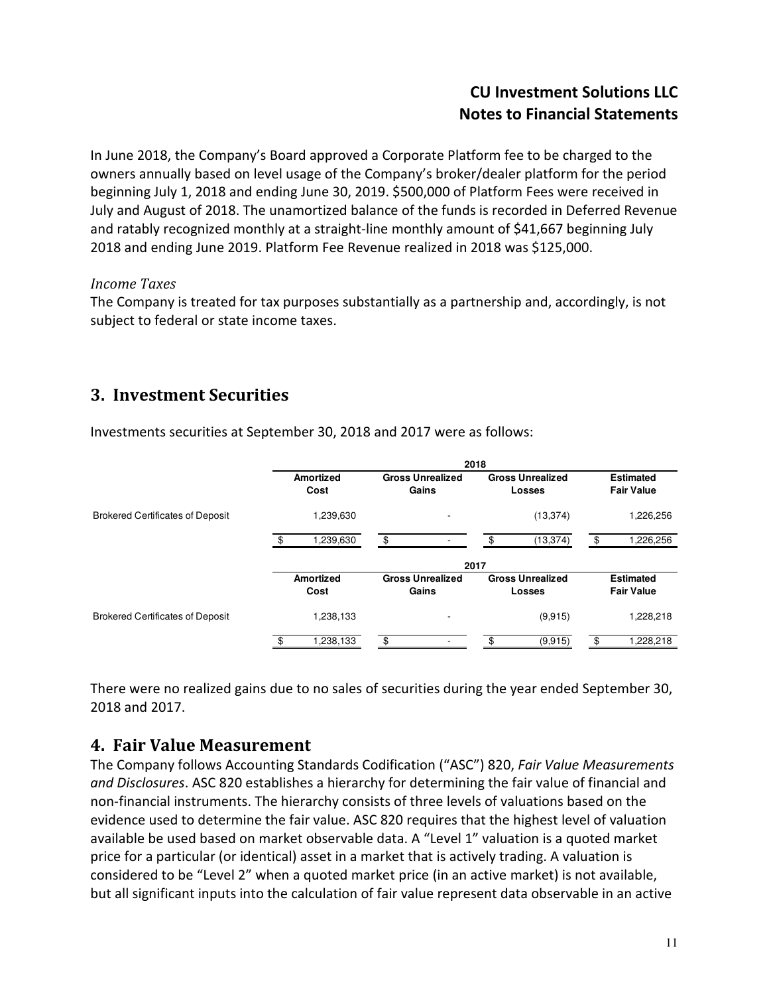In June 2018, the Company's Board approved a Corporate Platform fee to be charged to the owners annually based on level usage of the Company's broker/dealer platform for the period beginning July 1, 2018 and ending June 30, 2019. \$500,000 of Platform Fees were received in July and August of 2018. The unamortized balance of the funds is recorded in Deferred Revenue and ratably recognized monthly at a straight-line monthly amount of \$41,667 beginning July 2018 and ending June 2019. Platform Fee Revenue realized in 2018 was \$125,000.

#### Income Taxes

The Company is treated for tax purposes substantially as a partnership and, accordingly, is not subject to federal or state income taxes.

# 3. Investment Securities

|                                         |                          |                                  | 2018                                     |                                       |
|-----------------------------------------|--------------------------|----------------------------------|------------------------------------------|---------------------------------------|
|                                         | <b>Amortized</b><br>Cost | <b>Gross Unrealized</b><br>Gains | <b>Gross Unrealized</b><br><b>Losses</b> | <b>Estimated</b><br><b>Fair Value</b> |
| <b>Brokered Certificates of Deposit</b> | .239,630                 |                                  | (13, 374)                                | 1,226,256                             |
|                                         | 1,239,630                | \$                               | (13, 374)<br>\$.                         | 1,226,256                             |
|                                         |                          | 2017                             |                                          |                                       |
|                                         | Amortized<br>Cost        | <b>Gross Unrealized</b><br>Gains | <b>Gross Unrealized</b><br><b>Losses</b> | <b>Estimated</b><br><b>Fair Value</b> |
| <b>Brokered Certificates of Deposit</b> | 1.238.133                | ٠                                | (9,915)                                  | 1,228,218                             |
|                                         | .238,133                 | \$                               | (9,915)                                  | 1,228,218                             |

Investments securities at September 30, 2018 and 2017 were as follows:

There were no realized gains due to no sales of securities during the year ended September 30, 2018 and 2017.

## 4. Fair Value Measurement

The Company follows Accounting Standards Codification ("ASC") 820, Fair Value Measurements and Disclosures. ASC 820 establishes a hierarchy for determining the fair value of financial and non-financial instruments. The hierarchy consists of three levels of valuations based on the evidence used to determine the fair value. ASC 820 requires that the highest level of valuation available be used based on market observable data. A "Level 1" valuation is a quoted market price for a particular (or identical) asset in a market that is actively trading. A valuation is considered to be "Level 2" when a quoted market price (in an active market) is not available, but all significant inputs into the calculation of fair value represent data observable in an active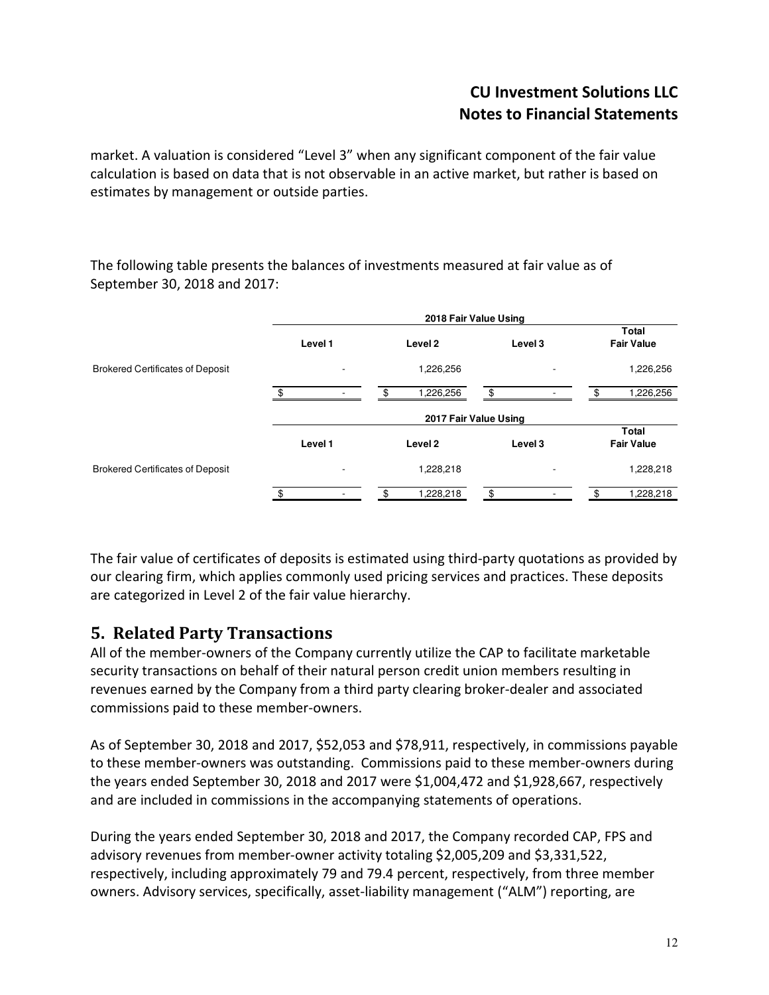market. A valuation is considered "Level 3" when any significant component of the fair value calculation is based on data that is not observable in an active market, but rather is based on estimates by management or outside parties.

The following table presents the balances of investments measured at fair value as of September 30, 2018 and 2017:

|                                         |         | 2018 Fair Value Using |         |                            |
|-----------------------------------------|---------|-----------------------|---------|----------------------------|
|                                         | Level 1 | Level 2               | Level 3 | Total<br><b>Fair Value</b> |
| <b>Brokered Certificates of Deposit</b> |         | 1,226,256             |         | 1,226,256                  |
|                                         |         | 1,226,256             | \$      | 1,226,256                  |
|                                         |         | 2017 Fair Value Using |         |                            |
|                                         | Level 1 | Level 2               | Level 3 | Total<br><b>Fair Value</b> |
| <b>Brokered Certificates of Deposit</b> |         | 1,228,218             |         | 1,228,218                  |
|                                         | .ድ      | 1,228,218             | \$      | 1,228,218<br>ፍ             |

The fair value of certificates of deposits is estimated using third-party quotations as provided by our clearing firm, which applies commonly used pricing services and practices. These deposits are categorized in Level 2 of the fair value hierarchy.

## 5. Related Party Transactions

All of the member-owners of the Company currently utilize the CAP to facilitate marketable security transactions on behalf of their natural person credit union members resulting in revenues earned by the Company from a third party clearing broker-dealer and associated commissions paid to these member-owners.

As of September 30, 2018 and 2017, \$52,053 and \$78,911, respectively, in commissions payable to these member-owners was outstanding. Commissions paid to these member-owners during the years ended September 30, 2018 and 2017 were \$1,004,472 and \$1,928,667, respectively and are included in commissions in the accompanying statements of operations.

During the years ended September 30, 2018 and 2017, the Company recorded CAP, FPS and advisory revenues from member-owner activity totaling \$2,005,209 and \$3,331,522, respectively, including approximately 79 and 79.4 percent, respectively, from three member owners. Advisory services, specifically, asset-liability management ("ALM") reporting, are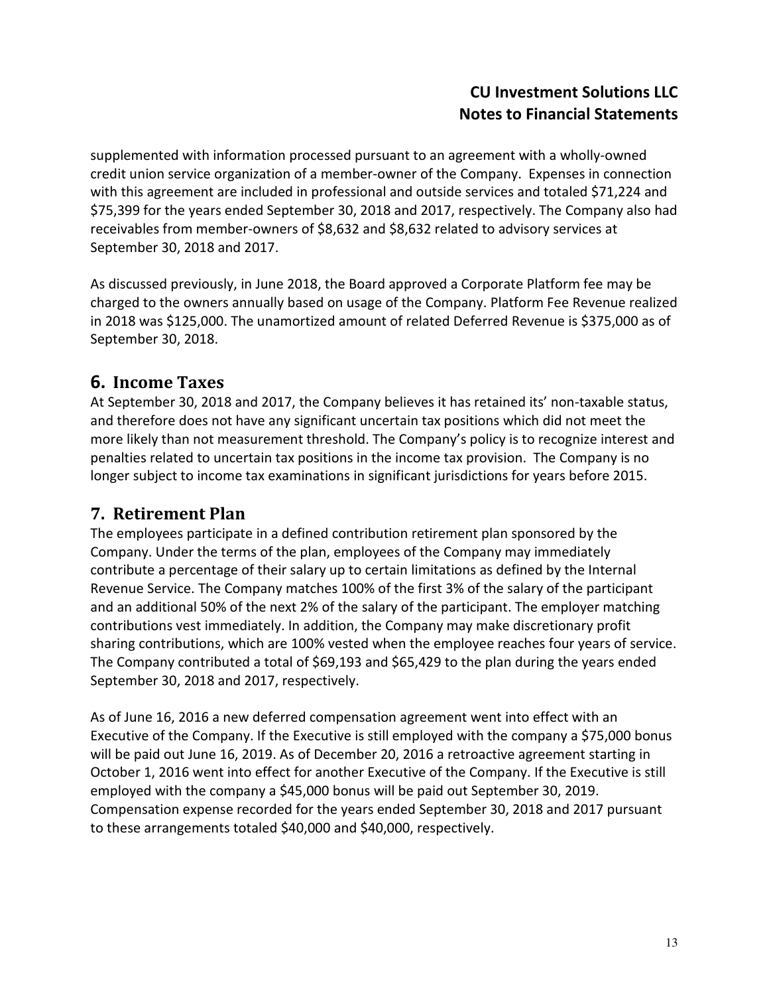supplemented with information processed pursuant to an agreement with a wholly-owned credit union service organization of a member-owner of the Company. Expenses in connection with this agreement are included in professional and outside services and totaled \$71,224 and \$75,399 for the years ended September 30, 2018 and 2017, respectively. The Company also had receivables from member-owners of \$8,632 and \$8,632 related to advisory services at September 30, 2018 and 2017.

As discussed previously, in June 2018, the Board approved a Corporate Platform fee may be charged to the owners annually based on usage of the Company. Platform Fee Revenue realized in 2018 was \$125,000. The unamortized amount of related Deferred Revenue is \$375,000 as of September 30, 2018.

# 6. Income Taxes

At September 30, 2018 and 2017, the Company believes it has retained its' non-taxable status, and therefore does not have any significant uncertain tax positions which did not meet the more likely than not measurement threshold. The Company's policy is to recognize interest and penalties related to uncertain tax positions in the income tax provision. The Company is no longer subject to income tax examinations in significant jurisdictions for years before 2015.

## 7. Retirement Plan

The employees participate in a defined contribution retirement plan sponsored by the Company. Under the terms of the plan, employees of the Company may immediately contribute a percentage of their salary up to certain limitations as defined by the Internal Revenue Service. The Company matches 100% of the first 3% of the salary of the participant and an additional 50% of the next 2% of the salary of the participant. The employer matching contributions vest immediately. In addition, the Company may make discretionary profit sharing contributions, which are 100% vested when the employee reaches four years of service. The Company contributed a total of \$69,193 and \$65,429 to the plan during the years ended September 30, 2018 and 2017, respectively.

As of June 16, 2016 a new deferred compensation agreement went into effect with an Executive of the Company. If the Executive is still employed with the company a \$75,000 bonus will be paid out June 16, 2019. As of December 20, 2016 a retroactive agreement starting in October 1, 2016 went into effect for another Executive of the Company. If the Executive is still employed with the company a \$45,000 bonus will be paid out September 30, 2019. Compensation expense recorded for the years ended September 30, 2018 and 2017 pursuant to these arrangements totaled \$40,000 and \$40,000, respectively.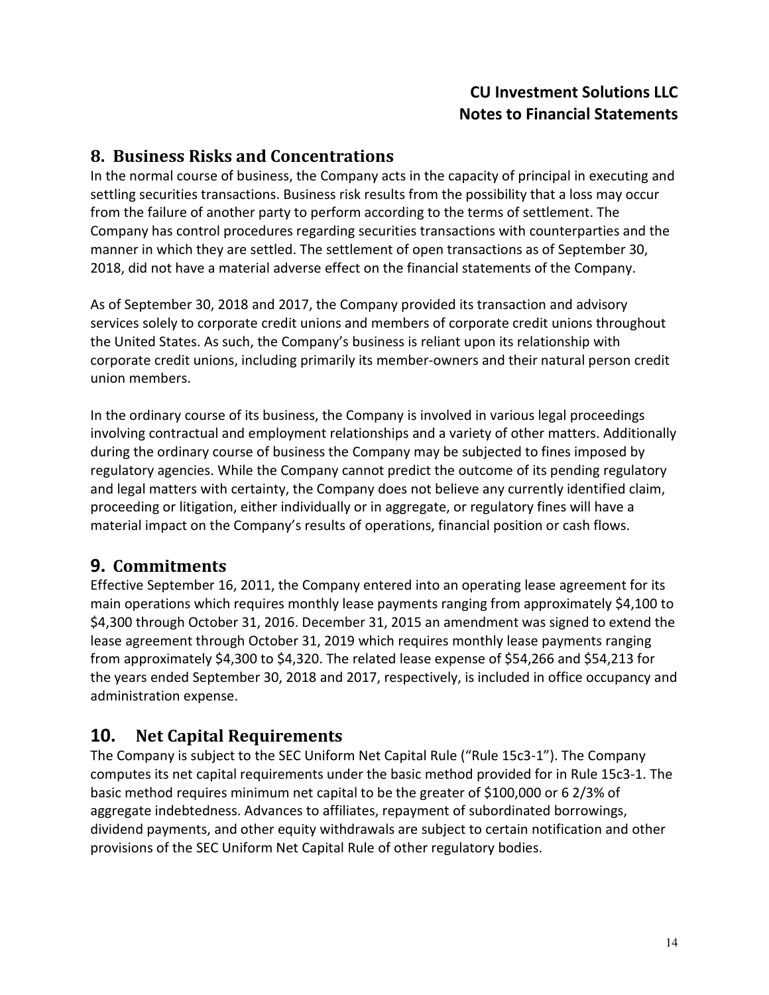#### 8. Business Risks and Concentrations

In the normal course of business, the Company acts in the capacity of principal in executing and settling securities transactions. Business risk results from the possibility that a loss may occur from the failure of another party to perform according to the terms of settlement. The Company has control procedures regarding securities transactions with counterparties and the manner in which they are settled. The settlement of open transactions as of September 30, 2018, did not have a material adverse effect on the financial statements of the Company.

As of September 30, 2018 and 2017, the Company provided its transaction and advisory services solely to corporate credit unions and members of corporate credit unions throughout the United States. As such, the Company's business is reliant upon its relationship with corporate credit unions, including primarily its member-owners and their natural person credit union members.

In the ordinary course of its business, the Company is involved in various legal proceedings involving contractual and employment relationships and a variety of other matters. Additionally during the ordinary course of business the Company may be subjected to fines imposed by regulatory agencies. While the Company cannot predict the outcome of its pending regulatory and legal matters with certainty, the Company does not believe any currently identified claim, proceeding or litigation, either individually or in aggregate, or regulatory fines will have a material impact on the Company's results of operations, financial position or cash flows.

## 9. Commitments

Effective September 16, 2011, the Company entered into an operating lease agreement for its main operations which requires monthly lease payments ranging from approximately \$4,100 to \$4,300 through October 31, 2016. December 31, 2015 an amendment was signed to extend the lease agreement through October 31, 2019 which requires monthly lease payments ranging from approximately \$4,300 to \$4,320. The related lease expense of \$54,266 and \$54,213 for the years ended September 30, 2018 and 2017, respectively, is included in office occupancy and administration expense.

# 10. Net Capital Requirements

The Company is subject to the SEC Uniform Net Capital Rule ("Rule 15c3-1"). The Company computes its net capital requirements under the basic method provided for in Rule 15c3-1. The basic method requires minimum net capital to be the greater of \$100,000 or 6 2/3% of aggregate indebtedness. Advances to affiliates, repayment of subordinated borrowings, dividend payments, and other equity withdrawals are subject to certain notification and other provisions of the SEC Uniform Net Capital Rule of other regulatory bodies.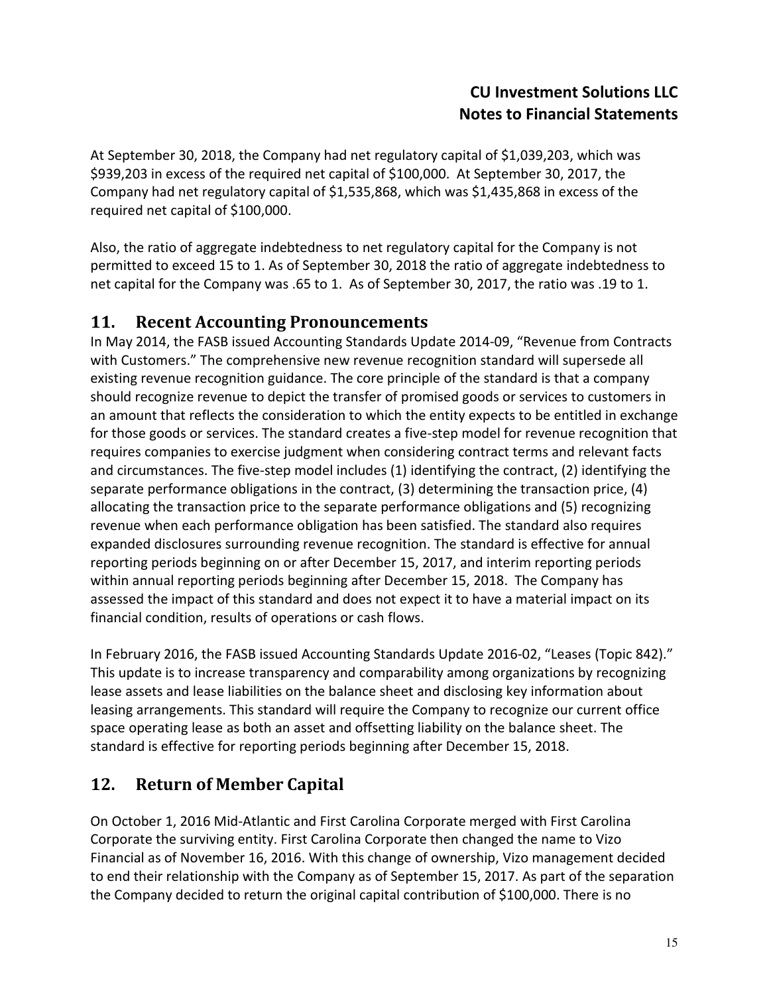At September 30, 2018, the Company had net regulatory capital of \$1,039,203, which was \$939,203 in excess of the required net capital of \$100,000. At September 30, 2017, the Company had net regulatory capital of \$1,535,868, which was \$1,435,868 in excess of the required net capital of \$100,000.

Also, the ratio of aggregate indebtedness to net regulatory capital for the Company is not permitted to exceed 15 to 1. As of September 30, 2018 the ratio of aggregate indebtedness to net capital for the Company was .65 to 1. As of September 30, 2017, the ratio was .19 to 1.

#### 11. Recent Accounting Pronouncements

In May 2014, the FASB issued Accounting Standards Update 2014-09, "Revenue from Contracts with Customers." The comprehensive new revenue recognition standard will supersede all existing revenue recognition guidance. The core principle of the standard is that a company should recognize revenue to depict the transfer of promised goods or services to customers in an amount that reflects the consideration to which the entity expects to be entitled in exchange for those goods or services. The standard creates a five-step model for revenue recognition that requires companies to exercise judgment when considering contract terms and relevant facts and circumstances. The five-step model includes (1) identifying the contract, (2) identifying the separate performance obligations in the contract, (3) determining the transaction price, (4) allocating the transaction price to the separate performance obligations and (5) recognizing revenue when each performance obligation has been satisfied. The standard also requires expanded disclosures surrounding revenue recognition. The standard is effective for annual reporting periods beginning on or after December 15, 2017, and interim reporting periods within annual reporting periods beginning after December 15, 2018. The Company has assessed the impact of this standard and does not expect it to have a material impact on its financial condition, results of operations or cash flows.

In February 2016, the FASB issued Accounting Standards Update 2016-02, "Leases (Topic 842)." This update is to increase transparency and comparability among organizations by recognizing lease assets and lease liabilities on the balance sheet and disclosing key information about leasing arrangements. This standard will require the Company to recognize our current office space operating lease as both an asset and offsetting liability on the balance sheet. The standard is effective for reporting periods beginning after December 15, 2018.

## 12. Return of Member Capital

On October 1, 2016 Mid-Atlantic and First Carolina Corporate merged with First Carolina Corporate the surviving entity. First Carolina Corporate then changed the name to Vizo Financial as of November 16, 2016. With this change of ownership, Vizo management decided to end their relationship with the Company as of September 15, 2017. As part of the separation the Company decided to return the original capital contribution of \$100,000. There is no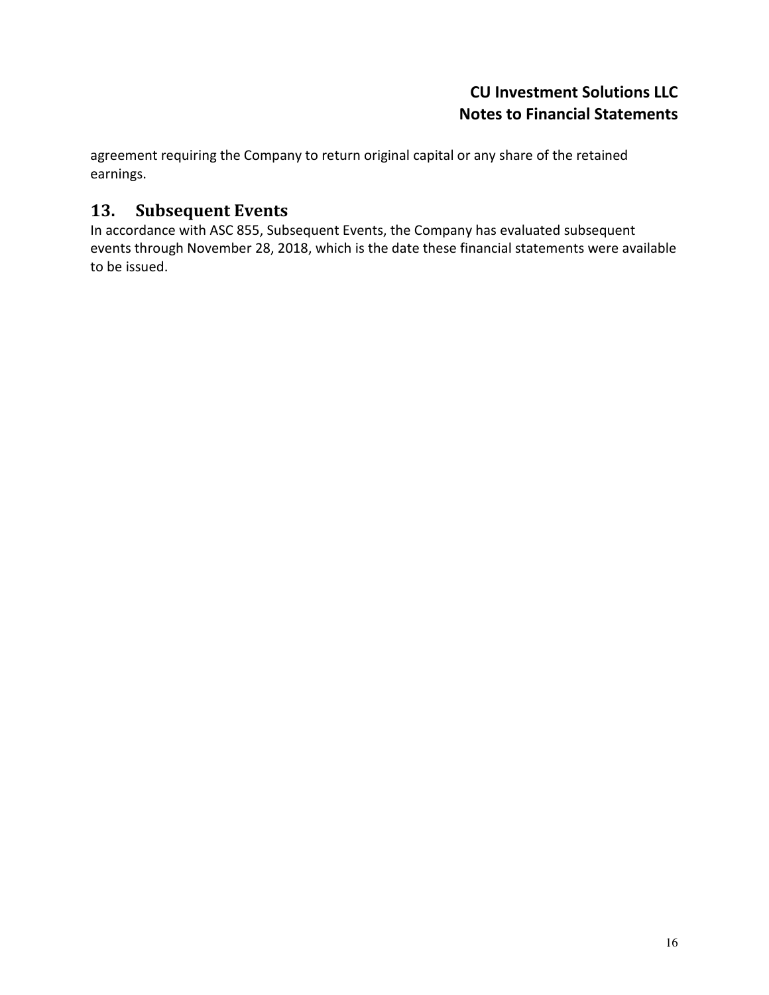agreement requiring the Company to return original capital or any share of the retained earnings.

## 13. Subsequent Events

In accordance with ASC 855, Subsequent Events, the Company has evaluated subsequent events through November 28, 2018, which is the date these financial statements were available to be issued.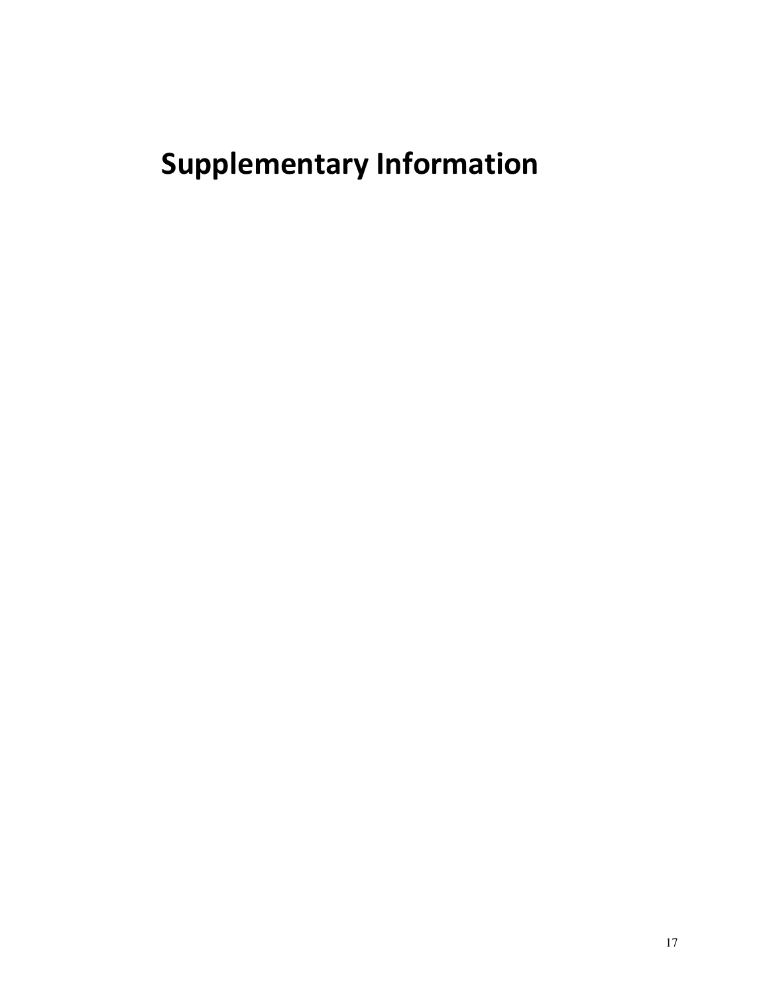# Supplementary Information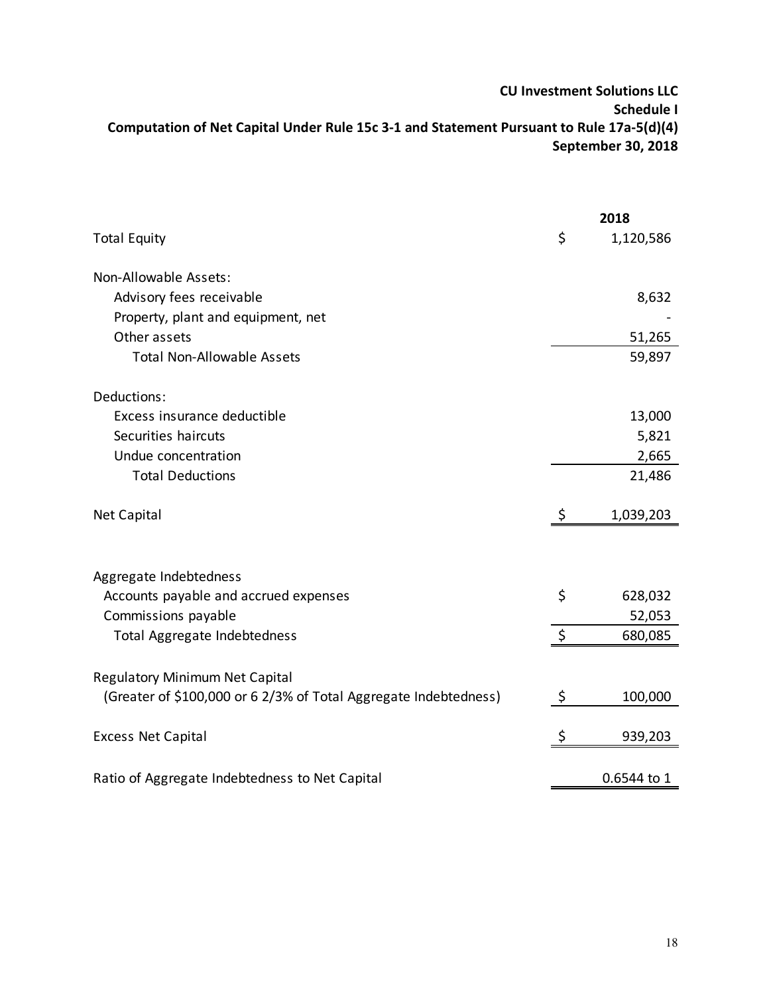#### CU Investment Solutions LLC Schedule I Computation of Net Capital Under Rule 15c 3-1 and Statement Pursuant to Rule 17a-5(d)(4) September 30, 2018

|                                                                  |         | 2018        |
|------------------------------------------------------------------|---------|-------------|
| <b>Total Equity</b>                                              | \$      | 1,120,586   |
| Non-Allowable Assets:                                            |         |             |
| Advisory fees receivable                                         |         | 8,632       |
| Property, plant and equipment, net                               |         |             |
| Other assets                                                     |         |             |
|                                                                  |         | 51,265      |
| <b>Total Non-Allowable Assets</b>                                |         | 59,897      |
| Deductions:                                                      |         |             |
| Excess insurance deductible                                      |         | 13,000      |
| Securities haircuts                                              |         | 5,821       |
| Undue concentration                                              |         | 2,665       |
| <b>Total Deductions</b>                                          |         | 21,486      |
| Net Capital                                                      | \$      | 1,039,203   |
|                                                                  |         |             |
| Aggregate Indebtedness                                           |         |             |
| Accounts payable and accrued expenses                            | \$      | 628,032     |
| Commissions payable                                              |         | 52,053      |
| Total Aggregate Indebtedness                                     | \$      | 680,085     |
|                                                                  |         |             |
| <b>Regulatory Minimum Net Capital</b>                            |         |             |
| (Greater of \$100,000 or 6 2/3% of Total Aggregate Indebtedness) | $\zeta$ | 100,000     |
| <b>Excess Net Capital</b>                                        | \$      | 939,203     |
|                                                                  |         |             |
| Ratio of Aggregate Indebtedness to Net Capital                   |         | 0.6544 to 1 |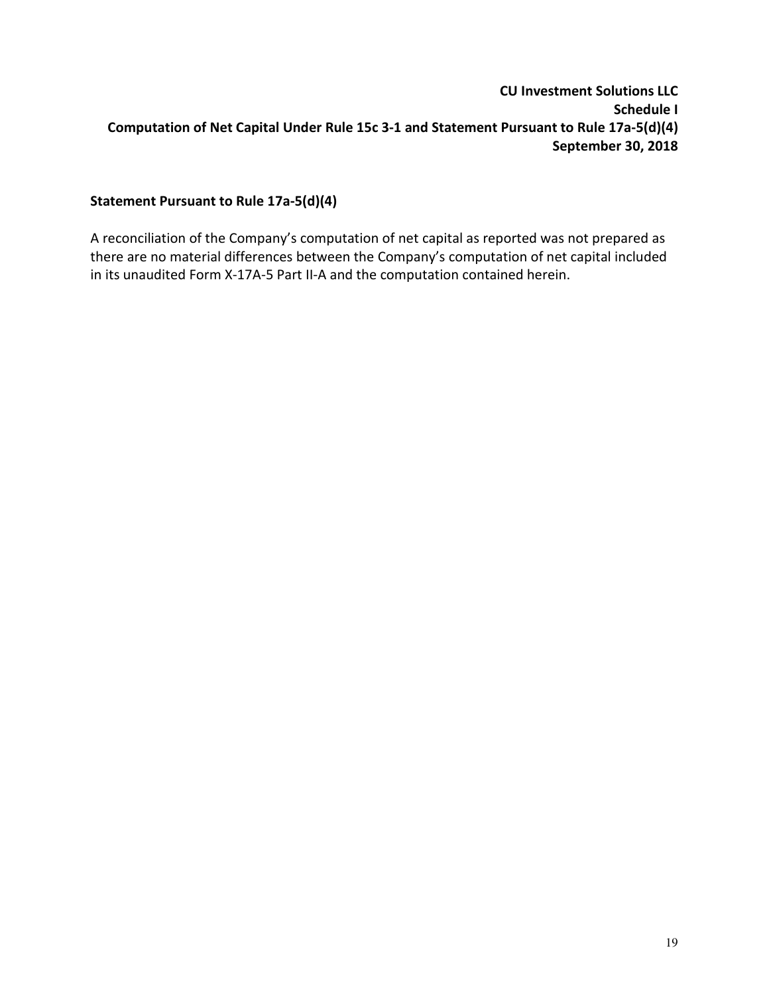#### CU Investment Solutions LLC Schedule I Computation of Net Capital Under Rule 15c 3-1 and Statement Pursuant to Rule 17a-5(d)(4) September 30, 2018

#### Statement Pursuant to Rule 17a-5(d)(4)

A reconciliation of the Company's computation of net capital as reported was not prepared as there are no material differences between the Company's computation of net capital included in its unaudited Form X-17A-5 Part II-A and the computation contained herein.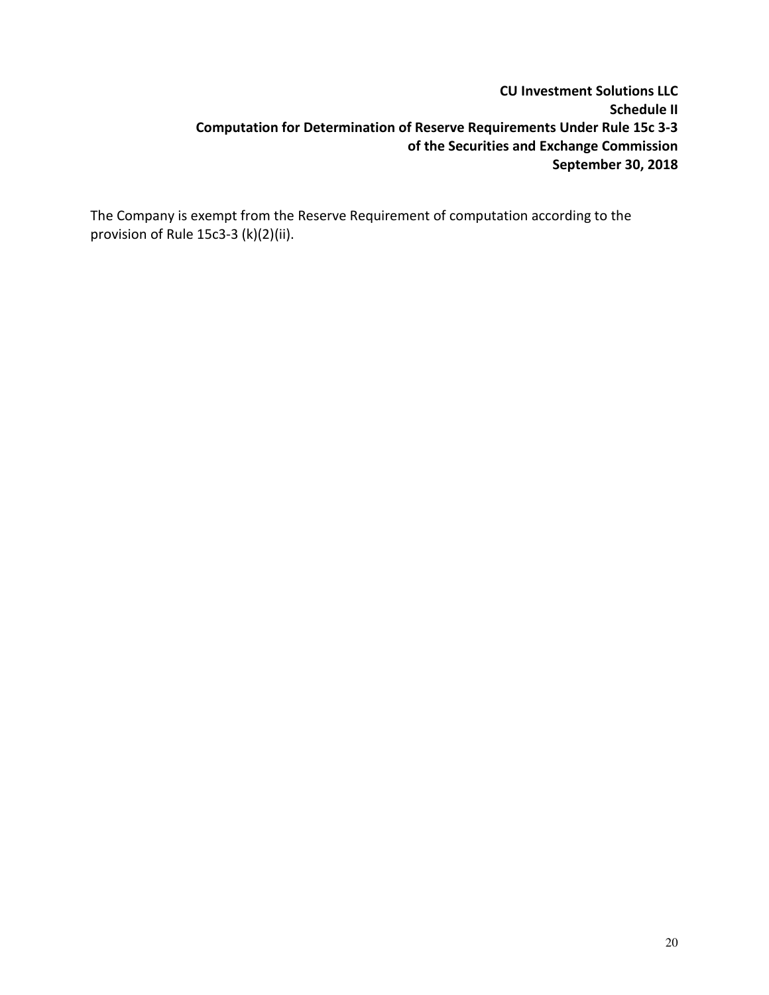#### CU Investment Solutions LLC Schedule II Computation for Determination of Reserve Requirements Under Rule 15c 3-3 of the Securities and Exchange Commission September 30, 2018

The Company is exempt from the Reserve Requirement of computation according to the provision of Rule 15c3-3 (k)(2)(ii).